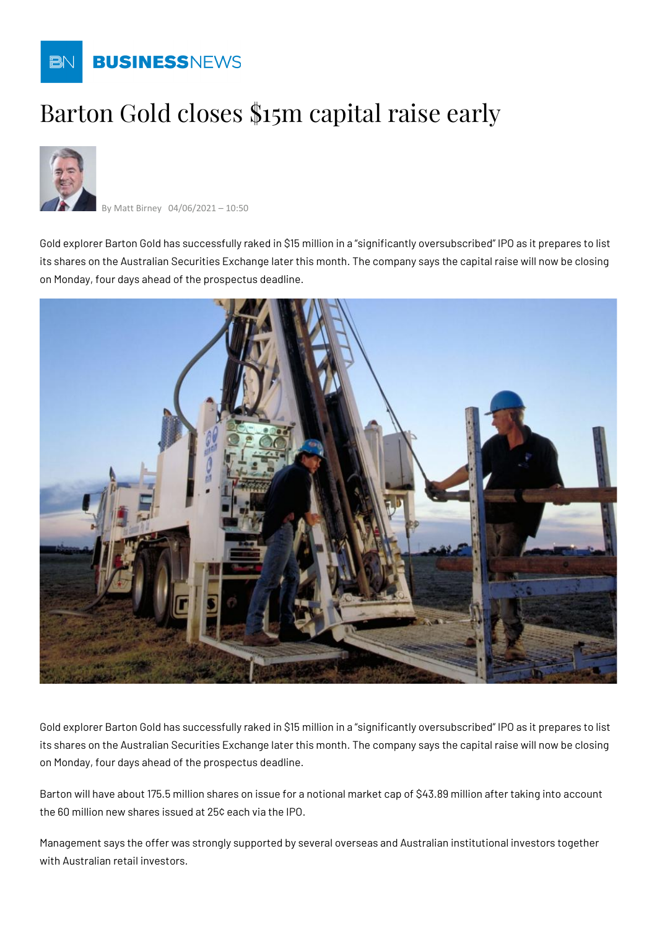

## Barton Gold closes \$15m capital raise early



By Matt Birney 04/06/2021 – 10:50

Gold explorer Barton Gold has successfully raked in \$15 million in a "significantly oversubscribed" IPO as it prepares to list its shares on the Australian Securities Exchange later this month. The company says the capital raise will now be closing on Monday, four days ahead of the prospectus deadline.



Gold explorer Barton Gold has successfully raked in \$15 million in a "significantly oversubscribed" IPO as it prepares to list its shares on the Australian Securities Exchange later this month. The company says the capital raise will now be closing on Monday, four days ahead of the prospectus deadline.

Barton will have about 175.5 million shares on issue for a notional market cap of \$43.89 million after taking into account the 60 million new shares issued at 25¢ each via the IPO.

Management says the offer was strongly supported by several overseas and Australian institutional investors together with Australian retail investors.